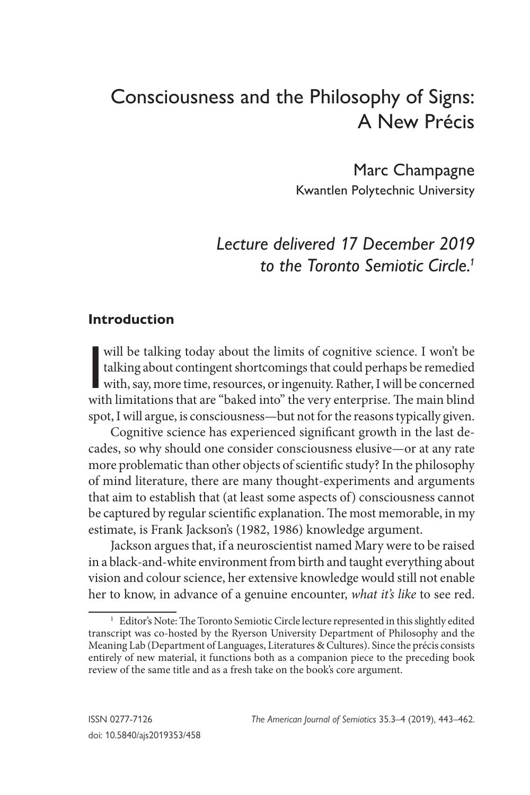# Consciousness and the Philosophy of Signs: A New Précis

Marc Champagne Kwantlen Polytechnic University

## *Lecture delivered 17 December 2019 to the Toronto Semiotic Circle.1*

### **Introduction**

will be talking today about the limits of cognitive science. I won't be talking about contingent shortcomings that could perhaps be remedied with, say, more time, resources, or ingenuity. Rather, I will be concerned with l talking about contingent shortcomings that could perhaps be remedied with limitations that are "baked into" the very enterprise. The main blind spot, I will argue, is consciousness—but not for the reasons typically given.

Cognitive science has experienced significant growth in the last decades, so why should one consider consciousness elusive—or at any rate more problematic than other objects of scientific study? In the philosophy of mind literature, there are many thought-experiments and arguments that aim to establish that (at least some aspects of) consciousness cannot be captured by regular scientific explanation. The most memorable, in my estimate, is Frank Jackson's (1982, 1986) knowledge argument.

Jackson argues that, if a neuroscientist named Mary were to be raised in a black-and-white environment from birth and taught everything about vision and colour science, her extensive knowledge would still not enable her to know, in advance of a genuine encounter, *what it's like* to see red.

<sup>&</sup>lt;sup>1</sup> Editor's Note: The Toronto Semiotic Circle lecture represented in this slightly edited transcript was co-hosted by the Ryerson University Department of Philosophy and the Meaning Lab (Department of Languages, Literatures & Cultures). Since the précis consists entirely of new material, it functions both as a companion piece to the preceding book review of the same title and as a fresh take on the book's core argument.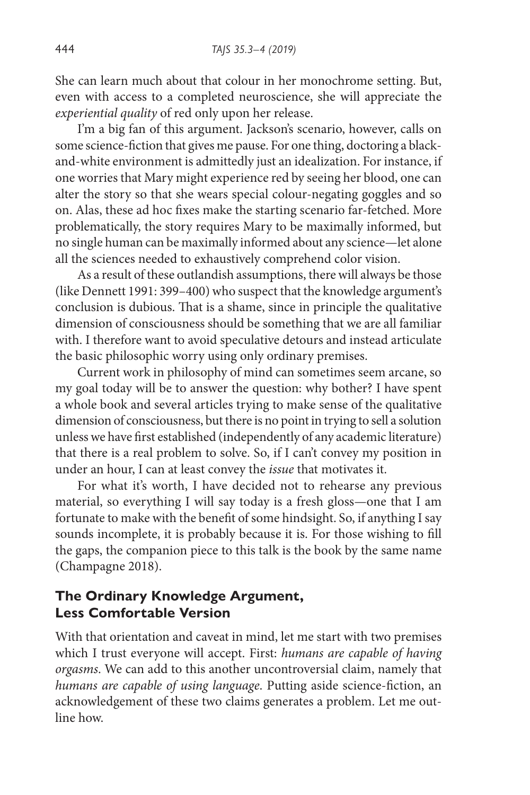She can learn much about that colour in her monochrome setting. But, even with access to a completed neuroscience, she will appreciate the *experiential quality* of red only upon her release.

I'm a big fan of this argument. Jackson's scenario, however, calls on some science-fiction that gives me pause. For one thing, doctoring a blackand-white environment is admittedly just an idealization. For instance, if one worries that Mary might experience red by seeing her blood, one can alter the story so that she wears special colour-negating goggles and so on. Alas, these ad hoc fixes make the starting scenario far-fetched. More problematically, the story requires Mary to be maximally informed, but no single human can be maximally informed about any science—let alone all the sciences needed to exhaustively comprehend color vision.

As a result of these outlandish assumptions, there will always be those (like Dennett 1991: 399–400) who suspect that the knowledge argument's conclusion is dubious. That is a shame, since in principle the qualitative dimension of consciousness should be something that we are all familiar with. I therefore want to avoid speculative detours and instead articulate the basic philosophic worry using only ordinary premises.

Current work in philosophy of mind can sometimes seem arcane, so my goal today will be to answer the question: why bother? I have spent a whole book and several articles trying to make sense of the qualitative dimension of consciousness, but there is no point in trying to sell a solution unless we have first established (independently of any academic literature) that there is a real problem to solve. So, if I can't convey my position in under an hour, I can at least convey the *issue* that motivates it.

For what it's worth, I have decided not to rehearse any previous material, so everything I will say today is a fresh gloss—one that I am fortunate to make with the benefit of some hindsight. So, if anything I say sounds incomplete, it is probably because it is. For those wishing to fill the gaps, the companion piece to this talk is the book by the same name (Champagne 2018).

## **The Ordinary Knowledge Argument, Less Comfortable Version**

With that orientation and caveat in mind, let me start with two premises which I trust everyone will accept. First: *humans are capable of having orgasms*. We can add to this another uncontroversial claim, namely that *humans are capable of using language*. Putting aside science-fiction, an acknowledgement of these two claims generates a problem. Let me outline how.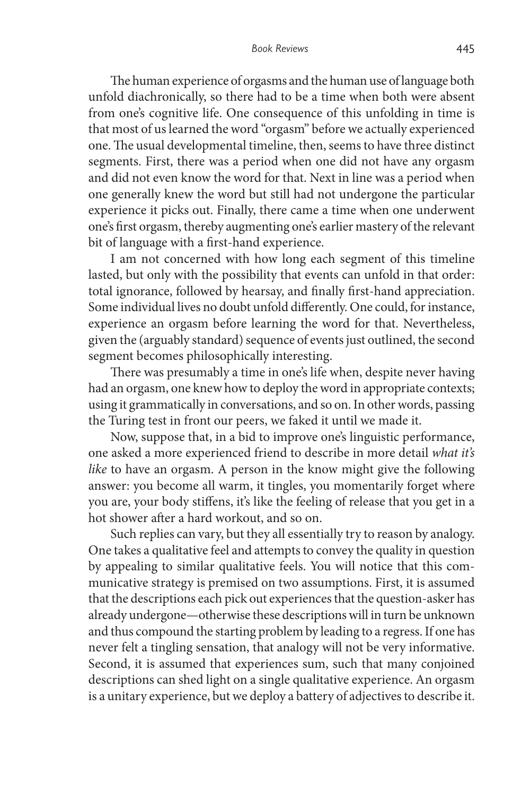The human experience of orgasms and the human use of language both unfold diachronically, so there had to be a time when both were absent from one's cognitive life. One consequence of this unfolding in time is that most of us learned the word "orgasm" before we actually experienced one. The usual developmental timeline, then, seems to have three distinct segments. First, there was a period when one did not have any orgasm and did not even know the word for that. Next in line was a period when one generally knew the word but still had not undergone the particular experience it picks out. Finally, there came a time when one underwent one's first orgasm, thereby augmenting one's earlier mastery of the relevant bit of language with a first-hand experience.

I am not concerned with how long each segment of this timeline lasted, but only with the possibility that events can unfold in that order: total ignorance, followed by hearsay, and finally first-hand appreciation. Some individual lives no doubt unfold differently. One could, for instance, experience an orgasm before learning the word for that. Nevertheless, given the (arguably standard) sequence of events just outlined, the second segment becomes philosophically interesting.

There was presumably a time in one's life when, despite never having had an orgasm, one knew how to deploy the word in appropriate contexts; using it grammatically in conversations, and so on. In other words, passing the Turing test in front our peers, we faked it until we made it.

Now, suppose that, in a bid to improve one's linguistic performance, one asked a more experienced friend to describe in more detail *what it's like* to have an orgasm. A person in the know might give the following answer: you become all warm, it tingles, you momentarily forget where you are, your body stiffens, it's like the feeling of release that you get in a hot shower after a hard workout, and so on.

Such replies can vary, but they all essentially try to reason by analogy. One takes a qualitative feel and attempts to convey the quality in question by appealing to similar qualitative feels. You will notice that this communicative strategy is premised on two assumptions. First, it is assumed that the descriptions each pick out experiences that the question-asker has already undergone—otherwise these descriptions will in turn be unknown and thus compound the starting problem by leading to a regress. If one has never felt a tingling sensation, that analogy will not be very informative. Second, it is assumed that experiences sum, such that many conjoined descriptions can shed light on a single qualitative experience. An orgasm is a unitary experience, but we deploy a battery of adjectives to describe it.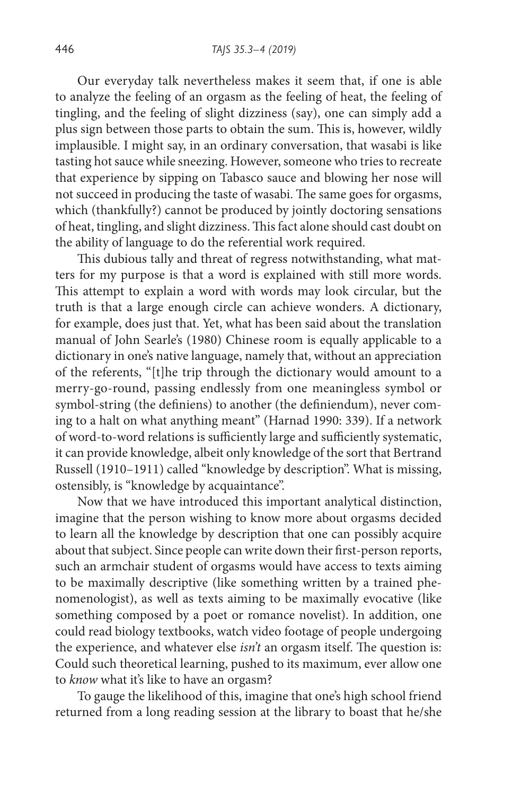Our everyday talk nevertheless makes it seem that, if one is able to analyze the feeling of an orgasm as the feeling of heat, the feeling of tingling, and the feeling of slight dizziness (say), one can simply add a plus sign between those parts to obtain the sum. This is, however, wildly implausible. I might say, in an ordinary conversation, that wasabi is like tasting hot sauce while sneezing. However, someone who tries to recreate that experience by sipping on Tabasco sauce and blowing her nose will not succeed in producing the taste of wasabi. The same goes for orgasms, which (thankfully?) cannot be produced by jointly doctoring sensations of heat, tingling, and slight dizziness. This fact alone should cast doubt on the ability of language to do the referential work required.

This dubious tally and threat of regress notwithstanding, what matters for my purpose is that a word is explained with still more words. This attempt to explain a word with words may look circular, but the truth is that a large enough circle can achieve wonders. A dictionary, for example, does just that. Yet, what has been said about the translation manual of John Searle's (1980) Chinese room is equally applicable to a dictionary in one's native language, namely that, without an appreciation of the referents, "[t]he trip through the dictionary would amount to a merry-go-round, passing endlessly from one meaningless symbol or symbol-string (the definiens) to another (the definiendum), never coming to a halt on what anything meant" (Harnad 1990: 339). If a network of word-to-word relations is sufficiently large and sufficiently systematic, it can provide knowledge, albeit only knowledge of the sort that Bertrand Russell (1910–1911) called "knowledge by description". What is missing, ostensibly, is "knowledge by acquaintance".

Now that we have introduced this important analytical distinction, imagine that the person wishing to know more about orgasms decided to learn all the knowledge by description that one can possibly acquire about that subject. Since people can write down their first-person reports, such an armchair student of orgasms would have access to texts aiming to be maximally descriptive (like something written by a trained phenomenologist), as well as texts aiming to be maximally evocative (like something composed by a poet or romance novelist). In addition, one could read biology textbooks, watch video footage of people undergoing the experience, and whatever else *isn't* an orgasm itself. The question is: Could such theoretical learning, pushed to its maximum, ever allow one to *know* what it's like to have an orgasm?

To gauge the likelihood of this, imagine that one's high school friend returned from a long reading session at the library to boast that he/she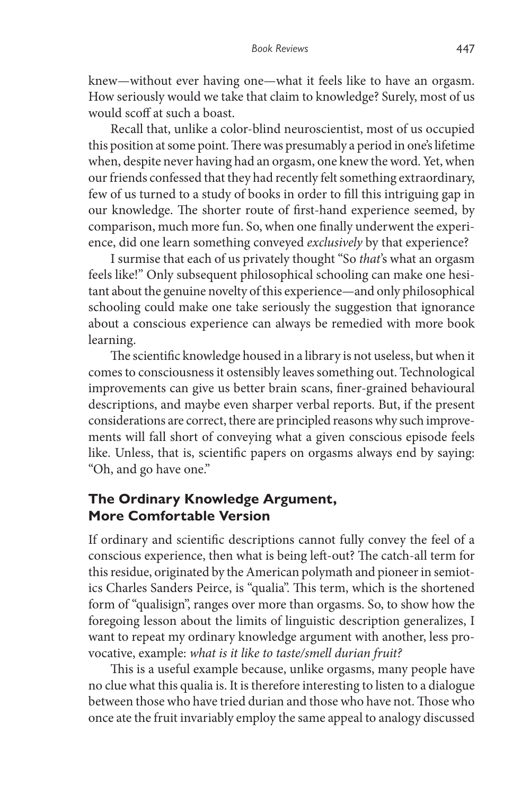knew—without ever having one—what it feels like to have an orgasm. How seriously would we take that claim to knowledge? Surely, most of us would scoff at such a boast.

Recall that, unlike a color-blind neuroscientist, most of us occupied this position at some point. There was presumably a period in one's lifetime when, despite never having had an orgasm, one knew the word. Yet, when our friends confessed that they had recently felt something extraordinary, few of us turned to a study of books in order to fill this intriguing gap in our knowledge. The shorter route of first-hand experience seemed, by comparison, much more fun. So, when one finally underwent the experience, did one learn something conveyed *exclusively* by that experience?

I surmise that each of us privately thought "So *that*'s what an orgasm feels like!" Only subsequent philosophical schooling can make one hesitant about the genuine novelty of this experience—and only philosophical schooling could make one take seriously the suggestion that ignorance about a conscious experience can always be remedied with more book learning.

The scientific knowledge housed in a library is not useless, but when it comes to consciousness it ostensibly leaves something out. Technological improvements can give us better brain scans, finer-grained behavioural descriptions, and maybe even sharper verbal reports. But, if the present considerations are correct, there are principled reasons why such improvements will fall short of conveying what a given conscious episode feels like. Unless, that is, scientific papers on orgasms always end by saying: "Oh, and go have one."

## **The Ordinary Knowledge Argument, More Comfortable Version**

If ordinary and scientific descriptions cannot fully convey the feel of a conscious experience, then what is being left-out? The catch-all term for this residue, originated by the American polymath and pioneer in semiotics Charles Sanders Peirce, is "qualia". This term, which is the shortened form of "qualisign", ranges over more than orgasms. So, to show how the foregoing lesson about the limits of linguistic description generalizes, I want to repeat my ordinary knowledge argument with another, less provocative, example: *what is it like to taste/smell durian fruit?*

This is a useful example because, unlike orgasms, many people have no clue what this qualia is. It is therefore interesting to listen to a dialogue between those who have tried durian and those who have not. Those who once ate the fruit invariably employ the same appeal to analogy discussed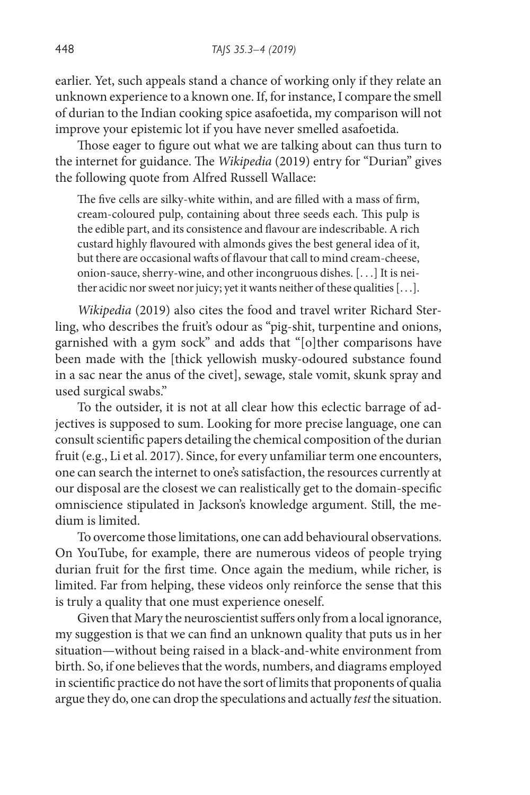earlier. Yet, such appeals stand a chance of working only if they relate an unknown experience to a known one. If, for instance, I compare the smell of durian to the Indian cooking spice asafoetida, my comparison will not improve your epistemic lot if you have never smelled asafoetida.

Those eager to figure out what we are talking about can thus turn to the internet for guidance. The *Wikipedia* (2019) entry for "Durian" gives the following quote from Alfred Russell Wallace:

The five cells are silky-white within, and are filled with a mass of firm, cream-coloured pulp, containing about three seeds each. This pulp is the edible part, and its consistence and flavour are indescribable. A rich custard highly flavoured with almonds gives the best general idea of it, but there are occasional wafts of flavour that call to mind cream-cheese, onion-sauce, sherry-wine, and other incongruous dishes. [. . .] It is neither acidic nor sweet nor juicy; yet it wants neither of these qualities [. . .].

*Wikipedia* (2019) also cites the food and travel writer Richard Sterling, who describes the fruit's odour as "pig-shit, turpentine and onions, garnished with a gym sock" and adds that "[o]ther comparisons have been made with the [thick yellowish musky-odoured substance found in a sac near the anus of the civet], sewage, stale vomit, skunk spray and used surgical swabs."

To the outsider, it is not at all clear how this eclectic barrage of adjectives is supposed to sum. Looking for more precise language, one can consult scientific papers detailing the chemical composition of the durian fruit (e.g., Li et al. 2017). Since, for every unfamiliar term one encounters, one can search the internet to one's satisfaction, the resources currently at our disposal are the closest we can realistically get to the domain-specific omniscience stipulated in Jackson's knowledge argument. Still, the medium is limited.

To overcome those limitations, one can add behavioural observations. On YouTube, for example, there are numerous videos of people trying durian fruit for the first time. Once again the medium, while richer, is limited. Far from helping, these videos only reinforce the sense that this is truly a quality that one must experience oneself.

Given that Mary the neuroscientist suffers only from a local ignorance, my suggestion is that we can find an unknown quality that puts us in her situation—without being raised in a black-and-white environment from birth. So, if one believes that the words, numbers, and diagrams employed in scientific practice do not have the sort of limits that proponents of qualia argue they do, one can drop the speculations and actually *test* the situation.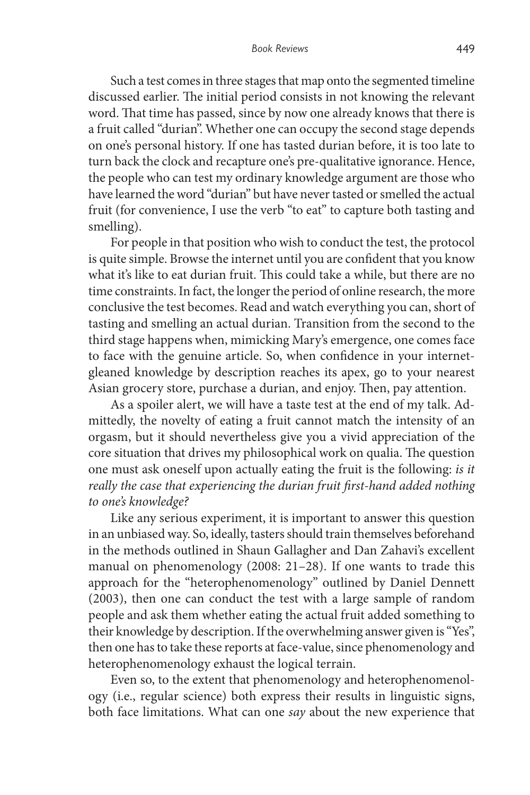Such a test comes in three stages that map onto the segmented timeline discussed earlier. The initial period consists in not knowing the relevant word. That time has passed, since by now one already knows that there is a fruit called "durian". Whether one can occupy the second stage depends on one's personal history. If one has tasted durian before, it is too late to turn back the clock and recapture one's pre-qualitative ignorance. Hence, the people who can test my ordinary knowledge argument are those who have learned the word "durian" but have never tasted or smelled the actual fruit (for convenience, I use the verb "to eat" to capture both tasting and smelling).

For people in that position who wish to conduct the test, the protocol is quite simple. Browse the internet until you are confident that you know what it's like to eat durian fruit. This could take a while, but there are no time constraints. In fact, the longer the period of online research, the more conclusive the test becomes. Read and watch everything you can, short of tasting and smelling an actual durian. Transition from the second to the third stage happens when, mimicking Mary's emergence, one comes face to face with the genuine article. So, when confidence in your internetgleaned knowledge by description reaches its apex, go to your nearest Asian grocery store, purchase a durian, and enjoy. Then, pay attention.

As a spoiler alert, we will have a taste test at the end of my talk. Admittedly, the novelty of eating a fruit cannot match the intensity of an orgasm, but it should nevertheless give you a vivid appreciation of the core situation that drives my philosophical work on qualia. The question one must ask oneself upon actually eating the fruit is the following: *is it really the case that experiencing the durian fruit first-hand added nothing to one's knowledge?*

Like any serious experiment, it is important to answer this question in an unbiased way. So, ideally, tasters should train themselves beforehand in the methods outlined in Shaun Gallagher and Dan Zahavi's excellent manual on phenomenology (2008: 21–28). If one wants to trade this approach for the "heterophenomenology" outlined by Daniel Dennett (2003), then one can conduct the test with a large sample of random people and ask them whether eating the actual fruit added something to their knowledge by description. If the overwhelming answer given is "Yes", then one has to take these reports at face-value, since phenomenology and heterophenomenology exhaust the logical terrain.

Even so, to the extent that phenomenology and heterophenomenology (i.e., regular science) both express their results in linguistic signs, both face limitations. What can one *say* about the new experience that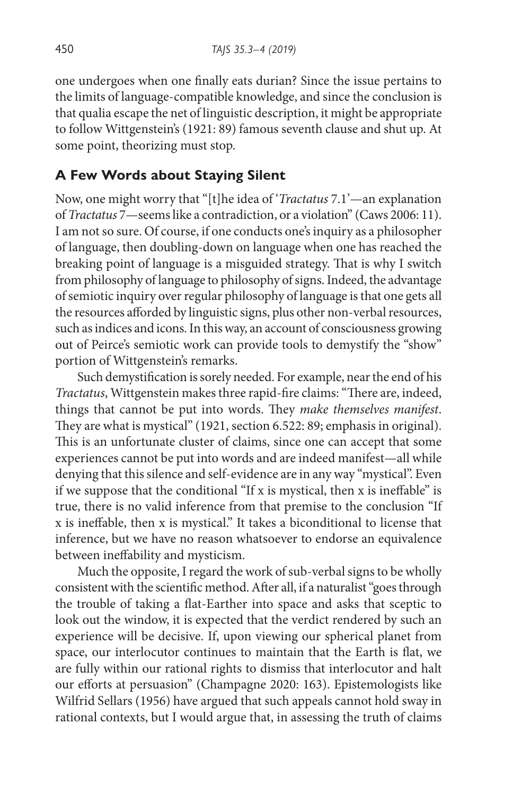one undergoes when one finally eats durian? Since the issue pertains to the limits of language-compatible knowledge, and since the conclusion is that qualia escape the net of linguistic description, it might be appropriate to follow Wittgenstein's (1921: 89) famous seventh clause and shut up. At some point, theorizing must stop.

## **A Few Words about Staying Silent**

Now, one might worry that "[t]he idea of '*Tractatus* 7.1'—an explanation of *Tractatus* 7—seems like a contradiction, or a violation" (Caws 2006: 11). I am not so sure. Of course, if one conducts one's inquiry as a philosopher of language, then doubling-down on language when one has reached the breaking point of language is a misguided strategy. That is why I switch from philosophy of language to philosophy of signs. Indeed, the advantage of semiotic inquiry over regular philosophy of language is that one gets all the resources afforded by linguistic signs, plus other non-verbal resources, such as indices and icons. In this way, an account of consciousness growing out of Peirce's semiotic work can provide tools to demystify the "show" portion of Wittgenstein's remarks.

Such demystification is sorely needed. For example, near the end of his *Tractatus*, Wittgenstein makes three rapid-fire claims: "There are, indeed, things that cannot be put into words. They *make themselves manifest*. They are what is mystical" (1921, section 6.522: 89; emphasis in original). This is an unfortunate cluster of claims, since one can accept that some experiences cannot be put into words and are indeed manifest—all while denying that this silence and self-evidence are in any way "mystical". Even if we suppose that the conditional "If x is mystical, then x is ineffable" is true, there is no valid inference from that premise to the conclusion "If x is ineffable, then x is mystical." It takes a biconditional to license that inference, but we have no reason whatsoever to endorse an equivalence between ineffability and mysticism.

Much the opposite, I regard the work of sub-verbal signs to be wholly consistent with the scientific method. After all, if a naturalist "goes through the trouble of taking a flat-Earther into space and asks that sceptic to look out the window, it is expected that the verdict rendered by such an experience will be decisive. If, upon viewing our spherical planet from space, our interlocutor continues to maintain that the Earth is flat, we are fully within our rational rights to dismiss that interlocutor and halt our efforts at persuasion" (Champagne 2020: 163). Epistemologists like Wilfrid Sellars (1956) have argued that such appeals cannot hold sway in rational contexts, but I would argue that, in assessing the truth of claims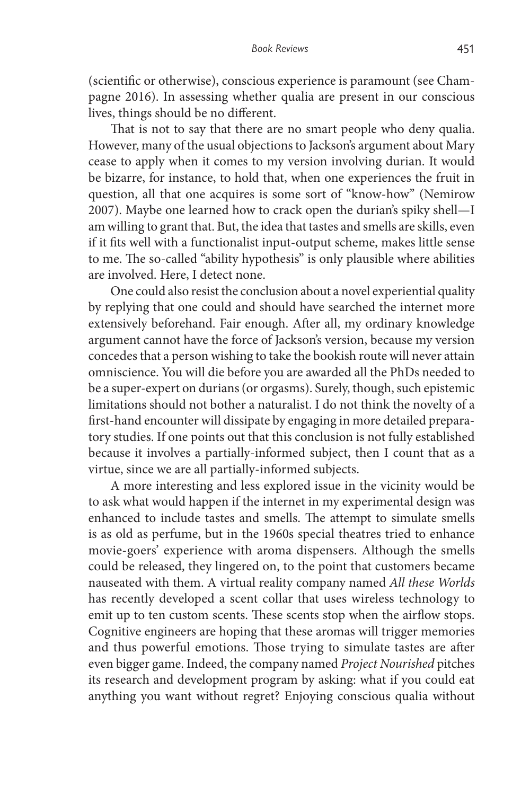(scientific or otherwise), conscious experience is paramount (see Champagne 2016). In assessing whether qualia are present in our conscious lives, things should be no different.

That is not to say that there are no smart people who deny qualia. However, many of the usual objections to Jackson's argument about Mary cease to apply when it comes to my version involving durian. It would be bizarre, for instance, to hold that, when one experiences the fruit in question, all that one acquires is some sort of "know-how" (Nemirow 2007). Maybe one learned how to crack open the durian's spiky shell—I am willing to grant that. But, the idea that tastes and smells are skills, even if it fits well with a functionalist input-output scheme, makes little sense to me. The so-called "ability hypothesis" is only plausible where abilities are involved. Here, I detect none.

One could also resist the conclusion about a novel experiential quality by replying that one could and should have searched the internet more extensively beforehand. Fair enough. After all, my ordinary knowledge argument cannot have the force of Jackson's version, because my version concedes that a person wishing to take the bookish route will never attain omniscience. You will die before you are awarded all the PhDs needed to be a super-expert on durians (or orgasms). Surely, though, such epistemic limitations should not bother a naturalist. I do not think the novelty of a first-hand encounter will dissipate by engaging in more detailed preparatory studies. If one points out that this conclusion is not fully established because it involves a partially-informed subject, then I count that as a virtue, since we are all partially-informed subjects.

A more interesting and less explored issue in the vicinity would be to ask what would happen if the internet in my experimental design was enhanced to include tastes and smells. The attempt to simulate smells is as old as perfume, but in the 1960s special theatres tried to enhance movie-goers' experience with aroma dispensers. Although the smells could be released, they lingered on, to the point that customers became nauseated with them. A virtual reality company named *All these Worlds* has recently developed a scent collar that uses wireless technology to emit up to ten custom scents. These scents stop when the airflow stops. Cognitive engineers are hoping that these aromas will trigger memories and thus powerful emotions. Those trying to simulate tastes are after even bigger game. Indeed, the company named *Project Nourished* pitches its research and development program by asking: what if you could eat anything you want without regret? Enjoying conscious qualia without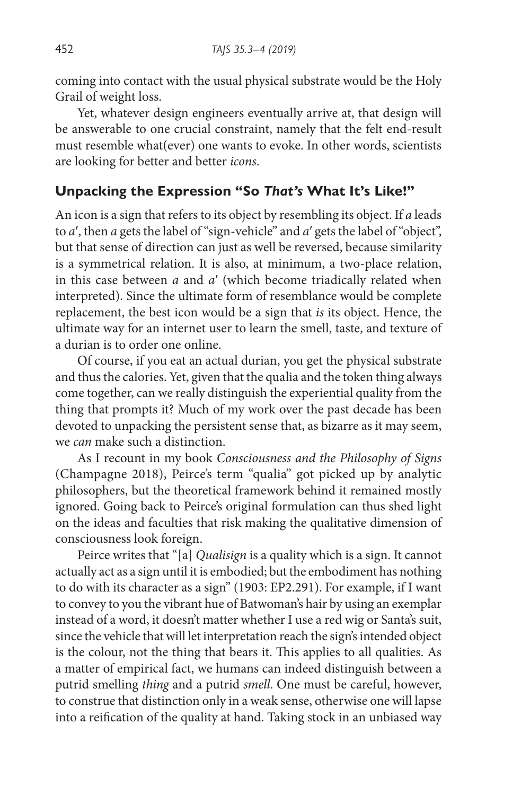coming into contact with the usual physical substrate would be the Holy Grail of weight loss.

Yet, whatever design engineers eventually arrive at, that design will be answerable to one crucial constraint, namely that the felt end-result must resemble what(ever) one wants to evoke. In other words, scientists are looking for better and better *icons*.

## **Unpacking the Expression "So** *That's* **What It's Like!"**

An icon is a sign that refers to its object by resembling its object. If *a* leads to *a*′, then *a* gets the label of "sign-vehicle" and *a*′ gets the label of "object", but that sense of direction can just as well be reversed, because similarity is a symmetrical relation. It is also, at minimum, a two-place relation, in this case between *a* and *a*′ (which become triadically related when interpreted). Since the ultimate form of resemblance would be complete replacement, the best icon would be a sign that *is* its object. Hence, the ultimate way for an internet user to learn the smell, taste, and texture of a durian is to order one online.

Of course, if you eat an actual durian, you get the physical substrate and thus the calories. Yet, given that the qualia and the token thing always come together, can we really distinguish the experiential quality from the thing that prompts it? Much of my work over the past decade has been devoted to unpacking the persistent sense that, as bizarre as it may seem, we *can* make such a distinction.

As I recount in my book *Consciousness and the Philosophy of Signs* (Champagne 2018), Peirce's term "qualia" got picked up by analytic philosophers, but the theoretical framework behind it remained mostly ignored. Going back to Peirce's original formulation can thus shed light on the ideas and faculties that risk making the qualitative dimension of consciousness look foreign.

Peirce writes that "[a] *Qualisign* is a quality which is a sign. It cannot actually act as a sign until it is embodied; but the embodiment has nothing to do with its character as a sign" (1903: EP2.291). For example, if I want to convey to you the vibrant hue of Batwoman's hair by using an exemplar instead of a word, it doesn't matter whether I use a red wig or Santa's suit, since the vehicle that will let interpretation reach the sign's intended object is the colour, not the thing that bears it. This applies to all qualities. As a matter of empirical fact, we humans can indeed distinguish between a putrid smelling *thing* and a putrid *smell*. One must be careful, however, to construe that distinction only in a weak sense, otherwise one will lapse into a reification of the quality at hand. Taking stock in an unbiased way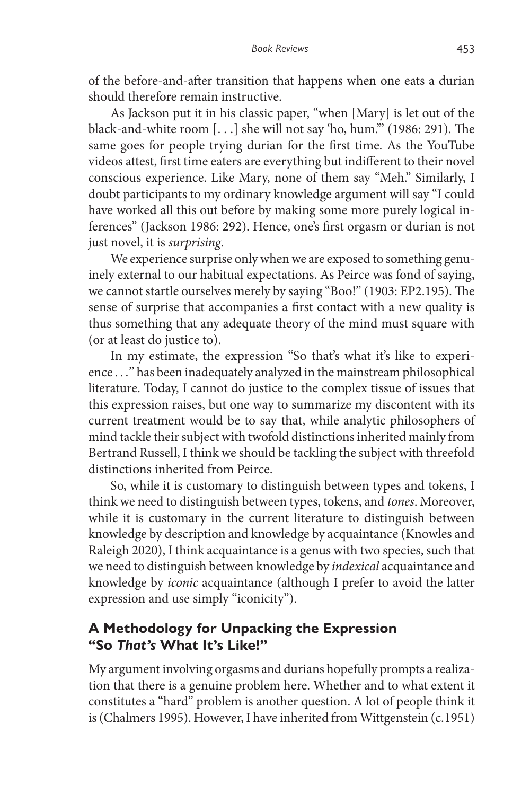of the before-and-after transition that happens when one eats a durian should therefore remain instructive.

As Jackson put it in his classic paper, "when [Mary] is let out of the black-and-white room [. . .] she will not say 'ho, hum.'" (1986: 291). The same goes for people trying durian for the first time. As the YouTube videos attest, first time eaters are everything but indifferent to their novel conscious experience. Like Mary, none of them say "Meh." Similarly, I doubt participants to my ordinary knowledge argument will say "I could have worked all this out before by making some more purely logical inferences" (Jackson 1986: 292). Hence, one's first orgasm or durian is not just novel, it is *surprising*.

We experience surprise only when we are exposed to something genuinely external to our habitual expectations. As Peirce was fond of saying, we cannot startle ourselves merely by saying "Boo!" (1903: EP2.195). The sense of surprise that accompanies a first contact with a new quality is thus something that any adequate theory of the mind must square with (or at least do justice to).

In my estimate, the expression "So that's what it's like to experience . . ." has been inadequately analyzed in the mainstream philosophical literature. Today, I cannot do justice to the complex tissue of issues that this expression raises, but one way to summarize my discontent with its current treatment would be to say that, while analytic philosophers of mind tackle their subject with twofold distinctions inherited mainly from Bertrand Russell, I think we should be tackling the subject with threefold distinctions inherited from Peirce.

So, while it is customary to distinguish between types and tokens, I think we need to distinguish between types, tokens, and *tones*. Moreover, while it is customary in the current literature to distinguish between knowledge by description and knowledge by acquaintance (Knowles and Raleigh 2020), I think acquaintance is a genus with two species, such that we need to distinguish between knowledge by *indexical* acquaintance and knowledge by *iconic* acquaintance (although I prefer to avoid the latter expression and use simply "iconicity").

## **A Methodology for Unpacking the Expression "So** *That's* **What It's Like!"**

My argument involving orgasms and durians hopefully prompts a realization that there is a genuine problem here. Whether and to what extent it constitutes a "hard" problem is another question. A lot of people think it is (Chalmers 1995). However, I have inherited from Wittgenstein (c.1951)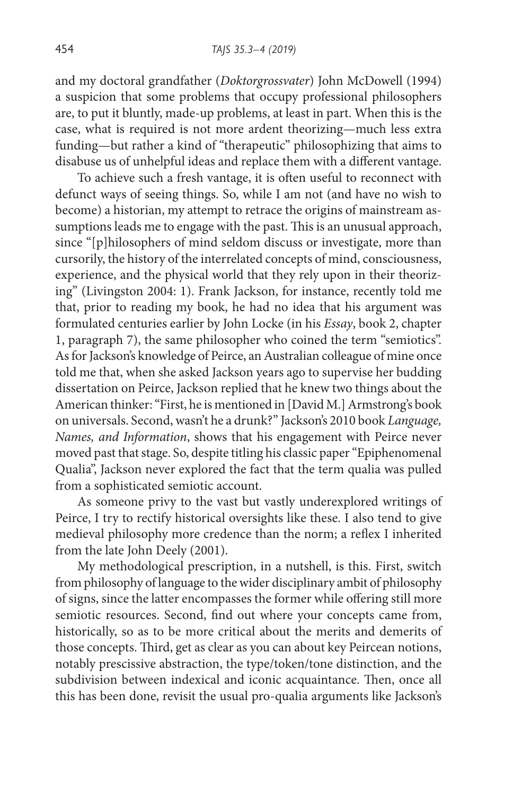and my doctoral grandfather (*Doktorgrossvater*) John McDowell (1994) a suspicion that some problems that occupy professional philosophers are, to put it bluntly, made-up problems, at least in part. When this is the case, what is required is not more ardent theorizing—much less extra funding—but rather a kind of "therapeutic" philosophizing that aims to disabuse us of unhelpful ideas and replace them with a different vantage.

To achieve such a fresh vantage, it is often useful to reconnect with defunct ways of seeing things. So, while I am not (and have no wish to become) a historian, my attempt to retrace the origins of mainstream assumptions leads me to engage with the past. This is an unusual approach, since "[p]hilosophers of mind seldom discuss or investigate, more than cursorily, the history of the interrelated concepts of mind, consciousness, experience, and the physical world that they rely upon in their theorizing" (Livingston 2004: 1). Frank Jackson, for instance, recently told me that, prior to reading my book, he had no idea that his argument was formulated centuries earlier by John Locke (in his *Essay*, book 2, chapter 1, paragraph 7), the same philosopher who coined the term "semiotics". As for Jackson's knowledge of Peirce, an Australian colleague of mine once told me that, when she asked Jackson years ago to supervise her budding dissertation on Peirce, Jackson replied that he knew two things about the American thinker: "First, he is mentioned in [David M.] Armstrong's book on universals. Second, wasn't he a drunk?" Jackson's 2010 book *Language, Names, and Information*, shows that his engagement with Peirce never moved past that stage. So, despite titling his classic paper "Epiphenomenal Qualia", Jackson never explored the fact that the term qualia was pulled from a sophisticated semiotic account.

As someone privy to the vast but vastly underexplored writings of Peirce, I try to rectify historical oversights like these. I also tend to give medieval philosophy more credence than the norm; a reflex I inherited from the late John Deely (2001).

My methodological prescription, in a nutshell, is this. First, switch from philosophy of language to the wider disciplinary ambit of philosophy of signs, since the latter encompasses the former while offering still more semiotic resources. Second, find out where your concepts came from, historically, so as to be more critical about the merits and demerits of those concepts. Third, get as clear as you can about key Peircean notions, notably prescissive abstraction, the type/token/tone distinction, and the subdivision between indexical and iconic acquaintance. Then, once all this has been done, revisit the usual pro-qualia arguments like Jackson's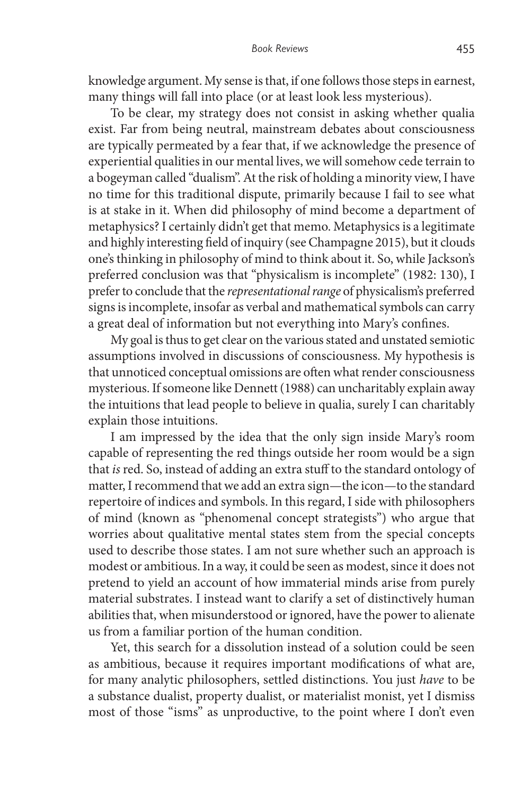knowledge argument. My sense is that, if one follows those steps in earnest, many things will fall into place (or at least look less mysterious).

To be clear, my strategy does not consist in asking whether qualia exist. Far from being neutral, mainstream debates about consciousness are typically permeated by a fear that, if we acknowledge the presence of experiential qualities in our mental lives, we will somehow cede terrain to a bogeyman called "dualism". At the risk of holding a minority view, I have no time for this traditional dispute, primarily because I fail to see what is at stake in it. When did philosophy of mind become a department of metaphysics? I certainly didn't get that memo. Metaphysics is a legitimate and highly interesting field of inquiry (see Champagne 2015), but it clouds one's thinking in philosophy of mind to think about it. So, while Jackson's preferred conclusion was that "physicalism is incomplete" (1982: 130), I prefer to conclude that the *representational range* of physicalism's preferred signs is incomplete, insofar as verbal and mathematical symbols can carry a great deal of information but not everything into Mary's confines.

My goal is thus to get clear on the various stated and unstated semiotic assumptions involved in discussions of consciousness. My hypothesis is that unnoticed conceptual omissions are often what render consciousness mysterious. If someone like Dennett (1988) can uncharitably explain away the intuitions that lead people to believe in qualia, surely I can charitably explain those intuitions.

I am impressed by the idea that the only sign inside Mary's room capable of representing the red things outside her room would be a sign that *is* red. So, instead of adding an extra stuff to the standard ontology of matter, I recommend that we add an extra sign—the icon—to the standard repertoire of indices and symbols. In this regard, I side with philosophers of mind (known as "phenomenal concept strategists") who argue that worries about qualitative mental states stem from the special concepts used to describe those states. I am not sure whether such an approach is modest or ambitious. In a way, it could be seen as modest, since it does not pretend to yield an account of how immaterial minds arise from purely material substrates. I instead want to clarify a set of distinctively human abilities that, when misunderstood or ignored, have the power to alienate us from a familiar portion of the human condition.

Yet, this search for a dissolution instead of a solution could be seen as ambitious, because it requires important modifications of what are, for many analytic philosophers, settled distinctions. You just *have* to be a substance dualist, property dualist, or materialist monist, yet I dismiss most of those "isms" as unproductive, to the point where I don't even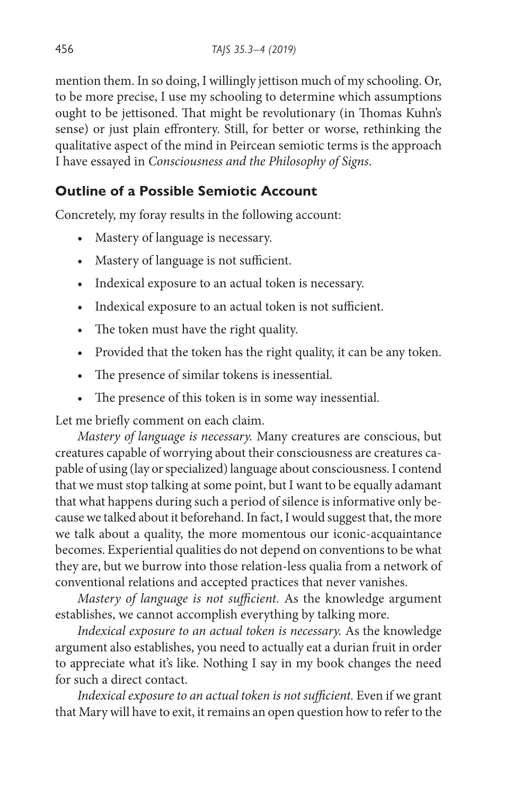mention them. In so doing, I willingly jettison much of my schooling. Or, to be more precise, I use my schooling to determine which assumptions ought to be jettisoned. That might be revolutionary (in Thomas Kuhn's sense) or just plain effrontery. Still, for better or worse, rethinking the qualitative aspect of the mind in Peircean semiotic terms is the approach I have essayed in *Consciousness and the Philosophy of Signs*.

## **Outline of a Possible Semiotic Account**

Concretely, my foray results in the following account:

- Mastery of language is necessary.
- Mastery of language is not sufficient.
- Indexical exposure to an actual token is necessary.
- Indexical exposure to an actual token is not sufficient.
- The token must have the right quality.
- Provided that the token has the right quality, it can be any token.
- The presence of similar tokens is inessential.
- The presence of this token is in some way inessential.

Let me briefly comment on each claim.

*Mastery of language is necessary.* Many creatures are conscious, but creatures capable of worrying about their consciousness are creatures capable of using (lay or specialized) language about consciousness. I contend that we must stop talking at some point, but I want to be equally adamant that what happens during such a period of silence is informative only because we talked about it beforehand. In fact, I would suggest that, the more we talk about a quality, the more momentous our iconic-acquaintance becomes. Experiential qualities do not depend on conventions to be what they are, but we burrow into those relation-less qualia from a network of conventional relations and accepted practices that never vanishes.

*Mastery of language is not sufficient.* As the knowledge argument establishes, we cannot accomplish everything by talking more.

*Indexical exposure to an actual token is necessary.* As the knowledge argument also establishes, you need to actually eat a durian fruit in order to appreciate what it's like. Nothing I say in my book changes the need for such a direct contact.

Indexical exposure to an actual token is not sufficient. Even if we grant that Mary will have to exit, it remains an open question how to refer to the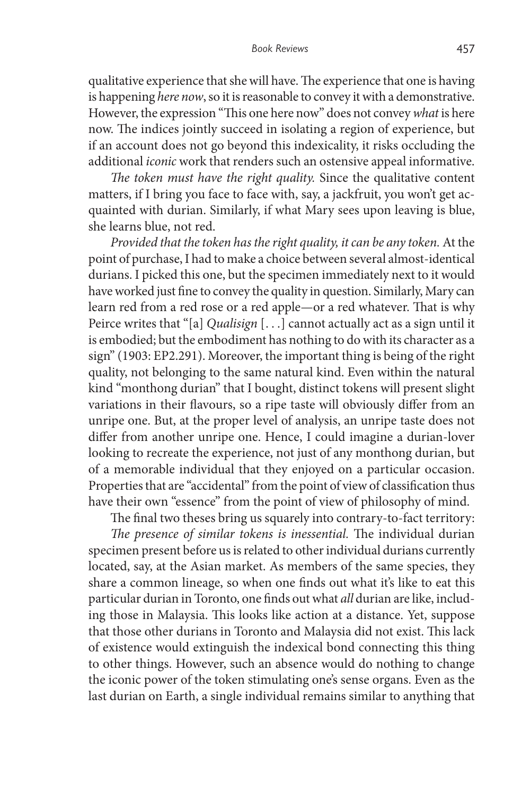qualitative experience that she will have. The experience that one is having is happening *here now*, so it is reasonable to convey it with a demonstrative. However, the expression "This one here now" does not convey *what* is here now. The indices jointly succeed in isolating a region of experience, but if an account does not go beyond this indexicality, it risks occluding the additional *iconic* work that renders such an ostensive appeal informative.

*The token must have the right quality.* Since the qualitative content matters, if I bring you face to face with, say, a jackfruit, you won't get acquainted with durian. Similarly, if what Mary sees upon leaving is blue, she learns blue, not red.

*Provided that the token has the right quality, it can be any token.* At the point of purchase, I had to make a choice between several almost-identical durians. I picked this one, but the specimen immediately next to it would have worked just fine to convey the quality in question. Similarly, Mary can learn red from a red rose or a red apple—or a red whatever. That is why Peirce writes that "[a] *Qualisign* [. . .] cannot actually act as a sign until it is embodied; but the embodiment has nothing to do with its character as a sign" (1903: EP2.291). Moreover, the important thing is being of the right quality, not belonging to the same natural kind. Even within the natural kind "monthong durian" that I bought, distinct tokens will present slight variations in their flavours, so a ripe taste will obviously differ from an unripe one. But, at the proper level of analysis, an unripe taste does not differ from another unripe one. Hence, I could imagine a durian-lover looking to recreate the experience, not just of any monthong durian, but of a memorable individual that they enjoyed on a particular occasion. Properties that are "accidental" from the point of view of classification thus have their own "essence" from the point of view of philosophy of mind.

The final two theses bring us squarely into contrary-to-fact territory:

*The presence of similar tokens is inessential.* The individual durian specimen present before us is related to other individual durians currently located, say, at the Asian market. As members of the same species, they share a common lineage, so when one finds out what it's like to eat this particular durian in Toronto, one finds out what *all* durian are like, including those in Malaysia. This looks like action at a distance. Yet, suppose that those other durians in Toronto and Malaysia did not exist. This lack of existence would extinguish the indexical bond connecting this thing to other things. However, such an absence would do nothing to change the iconic power of the token stimulating one's sense organs. Even as the last durian on Earth, a single individual remains similar to anything that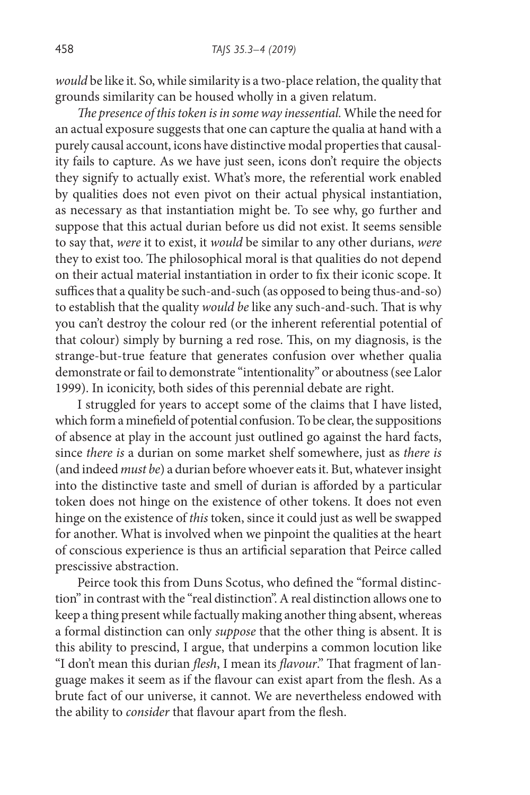*would* be like it. So, while similarity is a two-place relation, the quality that grounds similarity can be housed wholly in a given relatum.

*The presence of this token is in some way inessential.* While the need for an actual exposure suggests that one can capture the qualia at hand with a purely causal account, icons have distinctive modal properties that causality fails to capture. As we have just seen, icons don't require the objects they signify to actually exist. What's more, the referential work enabled by qualities does not even pivot on their actual physical instantiation, as necessary as that instantiation might be. To see why, go further and suppose that this actual durian before us did not exist. It seems sensible to say that, *were* it to exist, it *would* be similar to any other durians, *were* they to exist too. The philosophical moral is that qualities do not depend on their actual material instantiation in order to fix their iconic scope. It suffices that a quality be such-and-such (as opposed to being thus-and-so) to establish that the quality *would be* like any such-and-such. That is why you can't destroy the colour red (or the inherent referential potential of that colour) simply by burning a red rose. This, on my diagnosis, is the strange-but-true feature that generates confusion over whether qualia demonstrate or fail to demonstrate "intentionality" or aboutness (see Lalor 1999). In iconicity, both sides of this perennial debate are right.

I struggled for years to accept some of the claims that I have listed, which form a minefield of potential confusion. To be clear, the suppositions of absence at play in the account just outlined go against the hard facts, since *there is* a durian on some market shelf somewhere, just as *there is* (and indeed *must be*) a durian before whoever eats it. But, whatever insight into the distinctive taste and smell of durian is afforded by a particular token does not hinge on the existence of other tokens. It does not even hinge on the existence of *this* token, since it could just as well be swapped for another. What is involved when we pinpoint the qualities at the heart of conscious experience is thus an artificial separation that Peirce called prescissive abstraction.

Peirce took this from Duns Scotus, who defined the "formal distinction" in contrast with the "real distinction". A real distinction allows one to keep a thing present while factually making another thing absent, whereas a formal distinction can only *suppose* that the other thing is absent. It is this ability to prescind, I argue, that underpins a common locution like "I don't mean this durian *flesh*, I mean its *flavour*." That fragment of language makes it seem as if the flavour can exist apart from the flesh. As a brute fact of our universe, it cannot. We are nevertheless endowed with the ability to *consider* that flavour apart from the flesh.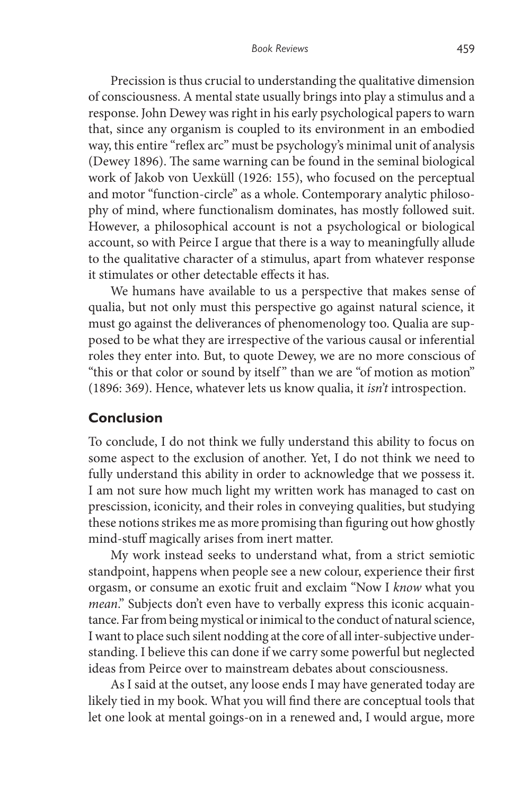Precission is thus crucial to understanding the qualitative dimension of consciousness. A mental state usually brings into play a stimulus and a response. John Dewey was right in his early psychological papers to warn that, since any organism is coupled to its environment in an embodied way, this entire "reflex arc" must be psychology's minimal unit of analysis (Dewey 1896). The same warning can be found in the seminal biological work of Jakob von Uexküll (1926: 155), who focused on the perceptual and motor "function-circle" as a whole. Contemporary analytic philosophy of mind, where functionalism dominates, has mostly followed suit. However, a philosophical account is not a psychological or biological account, so with Peirce I argue that there is a way to meaningfully allude to the qualitative character of a stimulus, apart from whatever response it stimulates or other detectable effects it has.

We humans have available to us a perspective that makes sense of qualia, but not only must this perspective go against natural science, it must go against the deliverances of phenomenology too. Qualia are supposed to be what they are irrespective of the various causal or inferential roles they enter into. But, to quote Dewey, we are no more conscious of "this or that color or sound by itself" than we are "of motion as motion" (1896: 369). Hence, whatever lets us know qualia, it *isn't* introspection.

## **Conclusion**

To conclude, I do not think we fully understand this ability to focus on some aspect to the exclusion of another. Yet, I do not think we need to fully understand this ability in order to acknowledge that we possess it. I am not sure how much light my written work has managed to cast on prescission, iconicity, and their roles in conveying qualities, but studying these notions strikes me as more promising than figuring out how ghostly mind-stuff magically arises from inert matter.

My work instead seeks to understand what, from a strict semiotic standpoint, happens when people see a new colour, experience their first orgasm, or consume an exotic fruit and exclaim "Now I *know* what you *mean*." Subjects don't even have to verbally express this iconic acquaintance. Far from being mystical or inimical to the conduct of natural science, I want to place such silent nodding at the core of all inter-subjective understanding. I believe this can done if we carry some powerful but neglected ideas from Peirce over to mainstream debates about consciousness.

As I said at the outset, any loose ends I may have generated today are likely tied in my book. What you will find there are conceptual tools that let one look at mental goings-on in a renewed and, I would argue, more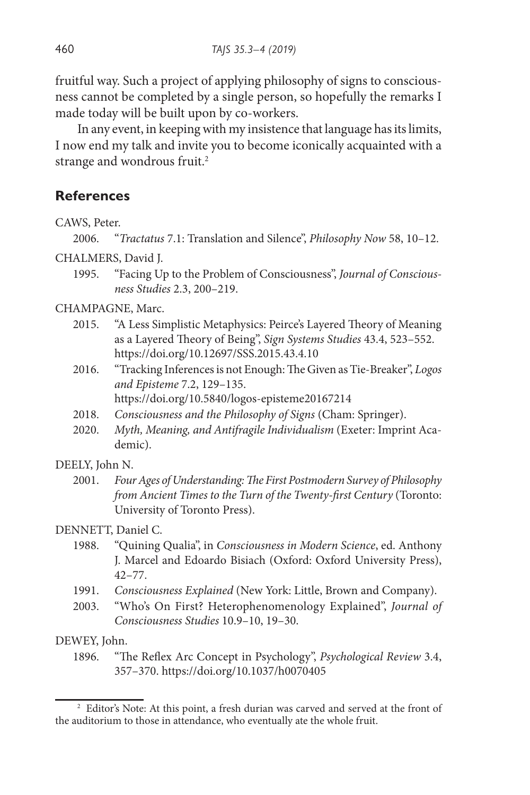fruitful way. Such a project of applying philosophy of signs to consciousness cannot be completed by a single person, so hopefully the remarks I made today will be built upon by co-workers.

In any event, in keeping with my insistence that language has its limits, I now end my talk and invite you to become iconically acquainted with a strange and wondrous fruit.<sup>2</sup>

## **References**

CAWS, Peter.

2006. "*Tractatus* 7.1: Translation and Silence", *Philosophy Now* 58, 10–12.

CHALMERS, David J.

1995. "Facing Up to the Problem of Consciousness", *Journal of Consciousness Studies* 2.3, 200–219.

CHAMPAGNE, Marc.

- 2015. "A Less Simplistic Metaphysics: Peirce's Layered Theory of Meaning as a Layered Theory of Being", *Sign Systems Studies* 43.4, 523–552. https://doi.org/10.12697/SSS.2015.43.4.10
- 2016. "Tracking Inferences is not Enough: The Given as Tie-Breaker", *Logos and Episteme* 7.2, 129–135.

https://doi.org/10.5840/logos-episteme20167214

- 2018. *Consciousness and the Philosophy of Signs* (Cham: Springer).
- 2020. *Myth, Meaning, and Antifragile Individualism* (Exeter: Imprint Academic).

#### DEELY, John N.

2001. *Four Ages of Understanding: The First Postmodern Survey of Philosophy from Ancient Times to the Turn of the Twenty-first Century* (Toronto: University of Toronto Press).

#### DENNETT, Daniel C.

- 1988. "Quining Qualia", in *Consciousness in Modern Science*, ed. Anthony J. Marcel and Edoardo Bisiach (Oxford: Oxford University Press), 42–77.
- 1991. *Consciousness Explained* (New York: Little, Brown and Company).
- 2003. "Who's On First? Heterophenomenology Explained", *Journal of Consciousness Studies* 10.9–10, 19–30.

#### DEWEY, John.

1896. "The Reflex Arc Concept in Psychology", *Psychological Review* 3.4, 357–370. https://doi.org/10.1037/h0070405

<sup>&</sup>lt;sup>2</sup> Editor's Note: At this point, a fresh durian was carved and served at the front of the auditorium to those in attendance, who eventually ate the whole fruit.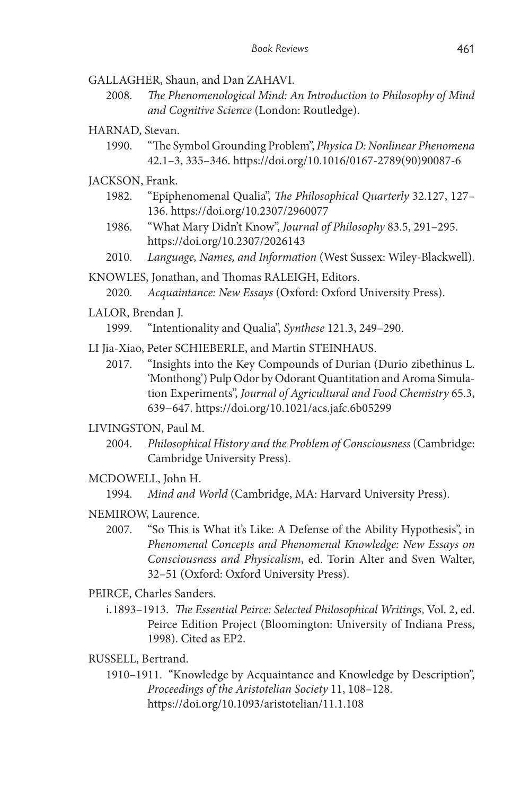GALLAGHER, Shaun, and Dan ZAHAVI.

- 2008. *The Phenomenological Mind: An Introduction to Philosophy of Mind and Cognitive Science* (London: Routledge).
- HARNAD, Stevan.
	- 1990. "The Symbol Grounding Problem", *Physica D: Nonlinear Phenomena* 42.1–3, 335–346. https://doi.org/10.1016/0167-2789(90)90087-6
- JACKSON, Frank.
	- 1982. "Epiphenomenal Qualia", *The Philosophical Quarterly* 32.127, 127– 136. https://doi.org/10.2307/2960077
	- 1986. "What Mary Didn't Know", *Journal of Philosophy* 83.5, 291–295. https://doi.org/10.2307/2026143
	- 2010. *Language, Names, and Information* (West Sussex: Wiley-Blackwell).

KNOWLES, Jonathan, and Thomas RALEIGH, Editors.

- 2020. *Acquaintance: New Essays* (Oxford: Oxford University Press).
- LALOR, Brendan J.
	- 1999. "Intentionality and Qualia", *Synthese* 121.3, 249–290.
- LI Jia-Xiao, Peter SCHIEBERLE, and Martin STEINHAUS.
	- 2017. "Insights into the Key Compounds of Durian (Durio zibethinus L. 'Monthong') Pulp Odor by Odorant Quantitation and Aroma Simulation Experiments", *Journal of Agricultural and Food Chemistry* 65.3, 639−647. https://doi.org/10.1021/acs.jafc.6b05299

#### LIVINGSTON, Paul M.

- 2004. *Philosophical History and the Problem of Consciousness* (Cambridge: Cambridge University Press).
- MCDOWELL, John H.
	- 1994. *Mind and World* (Cambridge, MA: Harvard University Press).
- NEMIROW, Laurence.
	- 2007. "So This is What it's Like: A Defense of the Ability Hypothesis", in *Phenomenal Concepts and Phenomenal Knowledge: New Essays on Consciousness and Physicalism*, ed. Torin Alter and Sven Walter, 32–51 (Oxford: Oxford University Press).
- PEIRCE, Charles Sanders.
	- i.1893–1913. *The Essential Peirce: Selected Philosophical Writings*, Vol. 2, ed. Peirce Edition Project (Bloomington: University of Indiana Press, 1998). Cited as EP2.
- RUSSELL, Bertrand.
	- 1910–1911. "Knowledge by Acquaintance and Knowledge by Description", *Proceedings of the Aristotelian Society* 11, 108–128. https://doi.org/10.1093/aristotelian/11.1.108